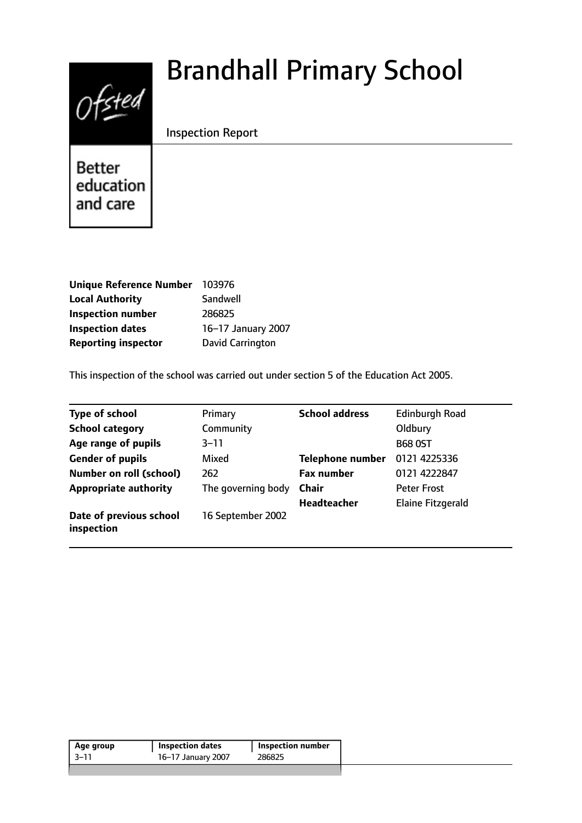# $0$ fsted

# Brandhall Primary School

Inspection Report

**Better** education and care

| <b>Unique Reference Number</b> | 103976             |
|--------------------------------|--------------------|
| <b>Local Authority</b>         | Sandwell           |
| <b>Inspection number</b>       | 286825             |
| <b>Inspection dates</b>        | 16-17 January 2007 |
| <b>Reporting inspector</b>     | David Carrington   |

This inspection of the school was carried out under section 5 of the Education Act 2005.

| <b>Type of school</b>                 | Primary            | <b>School address</b>   | <b>Edinburgh Road</b>    |
|---------------------------------------|--------------------|-------------------------|--------------------------|
| <b>School category</b>                | Community          |                         | Oldbury                  |
| Age range of pupils                   | $3 - 11$           |                         | <b>B68 OST</b>           |
| <b>Gender of pupils</b>               | Mixed              | <b>Telephone number</b> | 0121 4225336             |
| <b>Number on roll (school)</b>        | 262                | <b>Fax number</b>       | 0121 4222847             |
| <b>Appropriate authority</b>          | The governing body | Chair                   | <b>Peter Frost</b>       |
|                                       |                    | <b>Headteacher</b>      | <b>Elaine Fitzgerald</b> |
| Date of previous school<br>inspection | 16 September 2002  |                         |                          |

| Age group | <b>Inspection dates</b> | Inspection number |
|-----------|-------------------------|-------------------|
| $-3-11$   | 16-17 January 2007      | 286825            |
|           |                         |                   |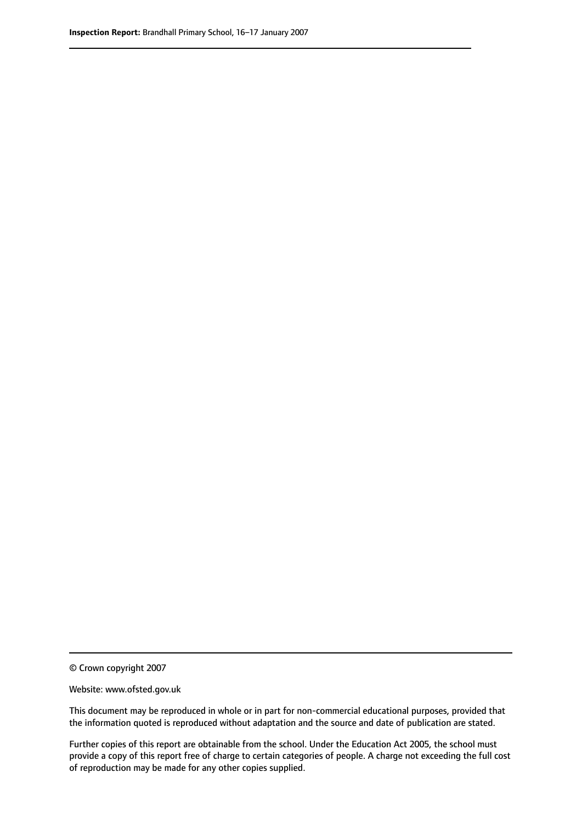© Crown copyright 2007

Website: www.ofsted.gov.uk

This document may be reproduced in whole or in part for non-commercial educational purposes, provided that the information quoted is reproduced without adaptation and the source and date of publication are stated.

Further copies of this report are obtainable from the school. Under the Education Act 2005, the school must provide a copy of this report free of charge to certain categories of people. A charge not exceeding the full cost of reproduction may be made for any other copies supplied.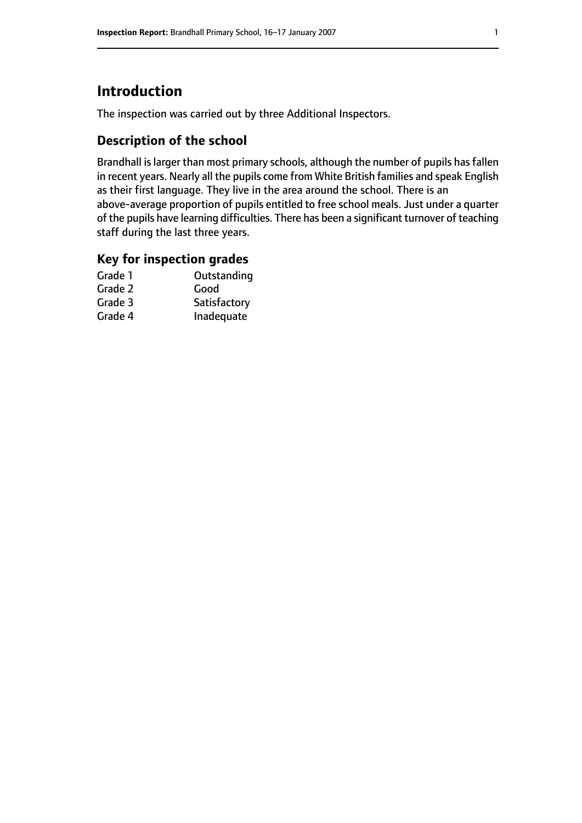## **Introduction**

The inspection was carried out by three Additional Inspectors.

#### **Description of the school**

Brandhall is larger than most primary schools, although the number of pupils has fallen in recent years. Nearly all the pupils come from White British families and speak English as their first language. They live in the area around the school. There is an above-average proportion of pupils entitled to free school meals. Just under a quarter of the pupils have learning difficulties. There has been a significant turnover of teaching staff during the last three years.

#### **Key for inspection grades**

| Outstanding  |
|--------------|
| Good         |
| Satisfactory |
| Inadequate   |
|              |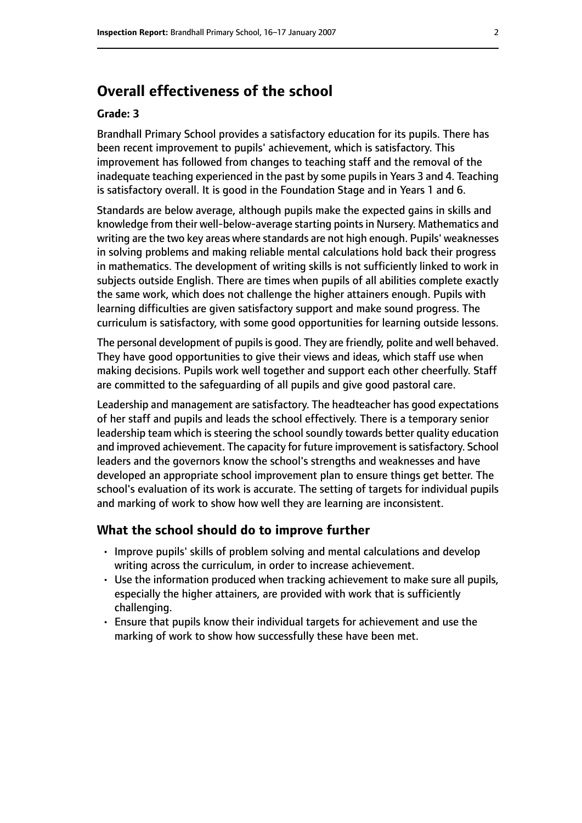### **Overall effectiveness of the school**

#### **Grade: 3**

Brandhall Primary School provides a satisfactory education for its pupils. There has been recent improvement to pupils' achievement, which is satisfactory. This improvement has followed from changes to teaching staff and the removal of the inadequate teaching experienced in the past by some pupils in Years 3 and 4. Teaching is satisfactory overall. It is good in the Foundation Stage and in Years 1 and 6.

Standards are below average, although pupils make the expected gains in skills and knowledge from their well-below-average starting points in Nursery. Mathematics and writing are the two key areas where standards are not high enough. Pupils' weaknesses in solving problems and making reliable mental calculations hold back their progress in mathematics. The development of writing skills is not sufficiently linked to work in subjects outside English. There are times when pupils of all abilities complete exactly the same work, which does not challenge the higher attainers enough. Pupils with learning difficulties are given satisfactory support and make sound progress. The curriculum is satisfactory, with some good opportunities for learning outside lessons.

The personal development of pupils is good. They are friendly, polite and well behaved. They have good opportunities to give their views and ideas, which staff use when making decisions. Pupils work well together and support each other cheerfully. Staff are committed to the safeguarding of all pupils and give good pastoral care.

Leadership and management are satisfactory. The headteacher has good expectations of her staff and pupils and leads the school effectively. There is a temporary senior leadership team which is steering the school soundly towards better quality education and improved achievement. The capacity for future improvement is satisfactory. School leaders and the governors know the school's strengths and weaknesses and have developed an appropriate school improvement plan to ensure things get better. The school's evaluation of its work is accurate. The setting of targets for individual pupils and marking of work to show how well they are learning are inconsistent.

#### **What the school should do to improve further**

- Improve pupils' skills of problem solving and mental calculations and develop writing across the curriculum, in order to increase achievement.
- Use the information produced when tracking achievement to make sure all pupils, especially the higher attainers, are provided with work that is sufficiently challenging.
- Ensure that pupils know their individual targets for achievement and use the marking of work to show how successfully these have been met.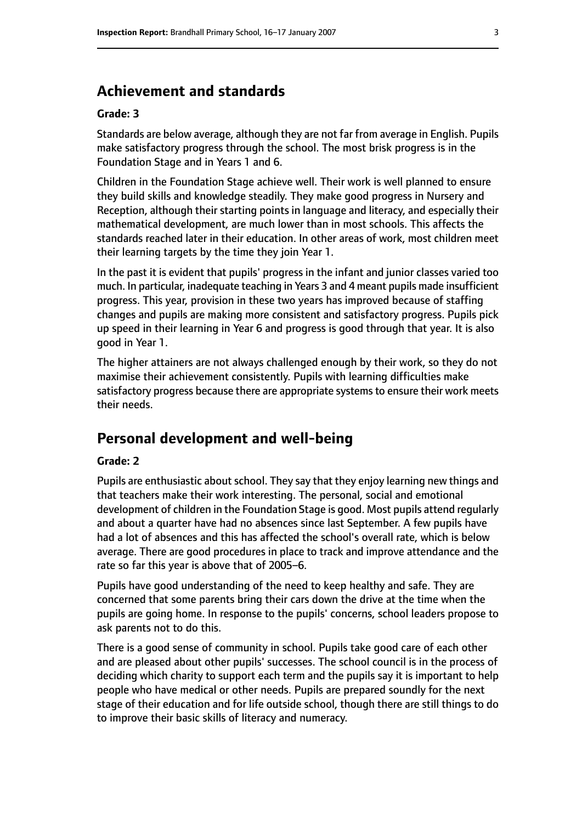#### **Achievement and standards**

#### **Grade: 3**

Standards are below average, although they are not far from average in English. Pupils make satisfactory progress through the school. The most brisk progress is in the Foundation Stage and in Years 1 and 6.

Children in the Foundation Stage achieve well. Their work is well planned to ensure they build skills and knowledge steadily. They make good progress in Nursery and Reception, although their starting points in language and literacy, and especially their mathematical development, are much lower than in most schools. This affects the standards reached later in their education. In other areas of work, most children meet their learning targets by the time they join Year 1.

In the past it is evident that pupils' progress in the infant and junior classes varied too much. In particular, inadequate teaching in Years 3 and 4 meant pupils made insufficient progress. This year, provision in these two years has improved because of staffing changes and pupils are making more consistent and satisfactory progress. Pupils pick up speed in their learning in Year 6 and progress is good through that year. It is also good in Year 1.

The higher attainers are not always challenged enough by their work, so they do not maximise their achievement consistently. Pupils with learning difficulties make satisfactory progress because there are appropriate systems to ensure their work meets their needs.

#### **Personal development and well-being**

#### **Grade: 2**

Pupils are enthusiastic about school. They say that they enjoy learning new things and that teachers make their work interesting. The personal, social and emotional development of children in the Foundation Stage is good. Most pupils attend regularly and about a quarter have had no absences since last September. A few pupils have had a lot of absences and this has affected the school's overall rate, which is below average. There are good procedures in place to track and improve attendance and the rate so far this year is above that of 2005-6.

Pupils have good understanding of the need to keep healthy and safe. They are concerned that some parents bring their cars down the drive at the time when the pupils are going home. In response to the pupils' concerns, school leaders propose to ask parents not to do this.

There is a good sense of community in school. Pupils take good care of each other and are pleased about other pupils' successes. The school council is in the process of deciding which charity to support each term and the pupils say it is important to help people who have medical or other needs. Pupils are prepared soundly for the next stage of their education and for life outside school, though there are still things to do to improve their basic skills of literacy and numeracy.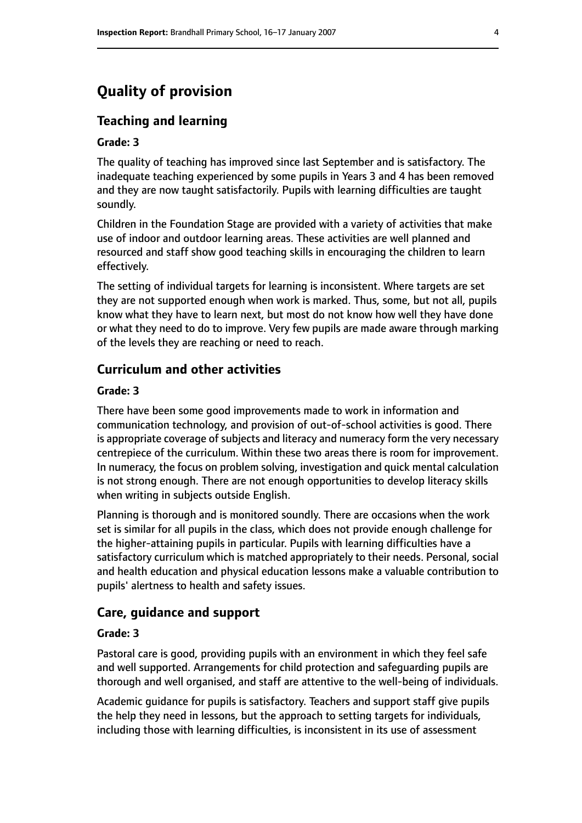# **Quality of provision**

#### **Teaching and learning**

#### **Grade: 3**

The quality of teaching has improved since last September and is satisfactory. The inadequate teaching experienced by some pupils in Years 3 and 4 has been removed and they are now taught satisfactorily. Pupils with learning difficulties are taught soundly.

Children in the Foundation Stage are provided with a variety of activities that make use of indoor and outdoor learning areas. These activities are well planned and resourced and staff show good teaching skills in encouraging the children to learn effectively.

The setting of individual targets for learning is inconsistent. Where targets are set they are not supported enough when work is marked. Thus, some, but not all, pupils know what they have to learn next, but most do not know how well they have done or what they need to do to improve. Very few pupils are made aware through marking of the levels they are reaching or need to reach.

#### **Curriculum and other activities**

#### **Grade: 3**

There have been some good improvements made to work in information and communication technology, and provision of out-of-school activities is good. There is appropriate coverage of subjects and literacy and numeracy form the very necessary centrepiece of the curriculum. Within these two areas there is room for improvement. In numeracy, the focus on problem solving, investigation and quick mental calculation is not strong enough. There are not enough opportunities to develop literacy skills when writing in subjects outside English.

Planning is thorough and is monitored soundly. There are occasions when the work set is similar for all pupils in the class, which does not provide enough challenge for the higher-attaining pupils in particular. Pupils with learning difficulties have a satisfactory curriculum which is matched appropriately to their needs. Personal, social and health education and physical education lessons make a valuable contribution to pupils' alertness to health and safety issues.

#### **Care, guidance and support**

#### **Grade: 3**

Pastoral care is good, providing pupils with an environment in which they feel safe and well supported. Arrangements for child protection and safeguarding pupils are thorough and well organised, and staff are attentive to the well-being of individuals.

Academic guidance for pupils is satisfactory. Teachers and support staff give pupils the help they need in lessons, but the approach to setting targets for individuals, including those with learning difficulties, is inconsistent in its use of assessment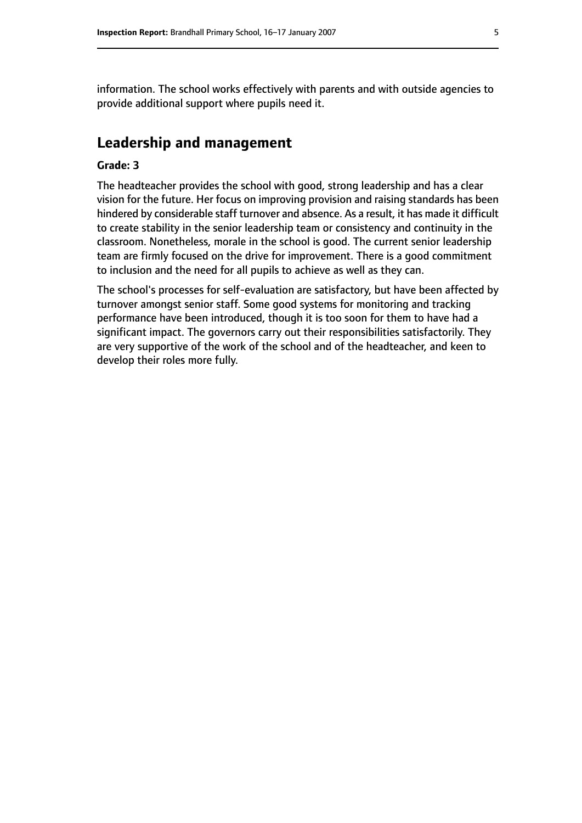information. The school works effectively with parents and with outside agencies to provide additional support where pupils need it.

#### **Leadership and management**

#### **Grade: 3**

The headteacher provides the school with good, strong leadership and has a clear vision for the future. Her focus on improving provision and raising standards has been hindered by considerable staff turnover and absence. As a result, it has made it difficult to create stability in the senior leadership team or consistency and continuity in the classroom. Nonetheless, morale in the school is good. The current senior leadership team are firmly focused on the drive for improvement. There is a good commitment to inclusion and the need for all pupils to achieve as well as they can.

The school's processes for self-evaluation are satisfactory, but have been affected by turnover amongst senior staff. Some good systems for monitoring and tracking performance have been introduced, though it is too soon for them to have had a significant impact. The governors carry out their responsibilities satisfactorily. They are very supportive of the work of the school and of the headteacher, and keen to develop their roles more fully.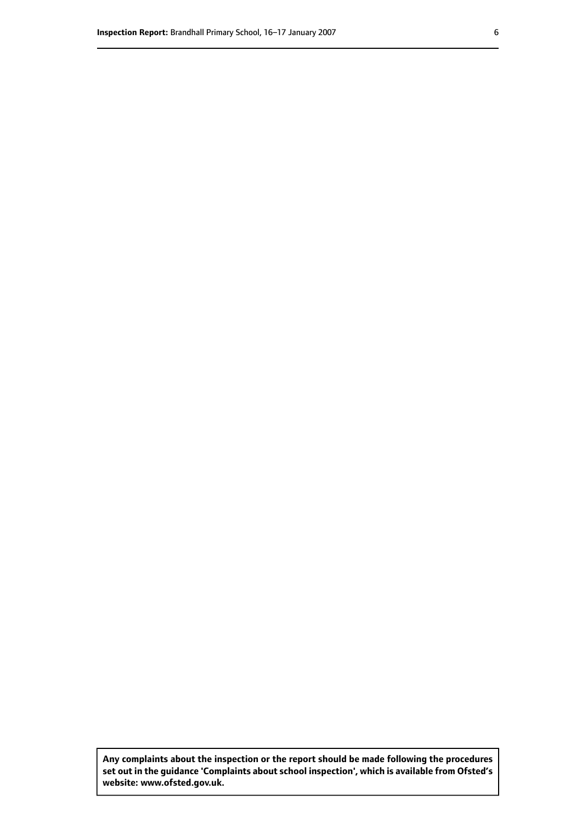**Any complaints about the inspection or the report should be made following the procedures set out inthe guidance 'Complaints about school inspection', whichis available from Ofsted's website: www.ofsted.gov.uk.**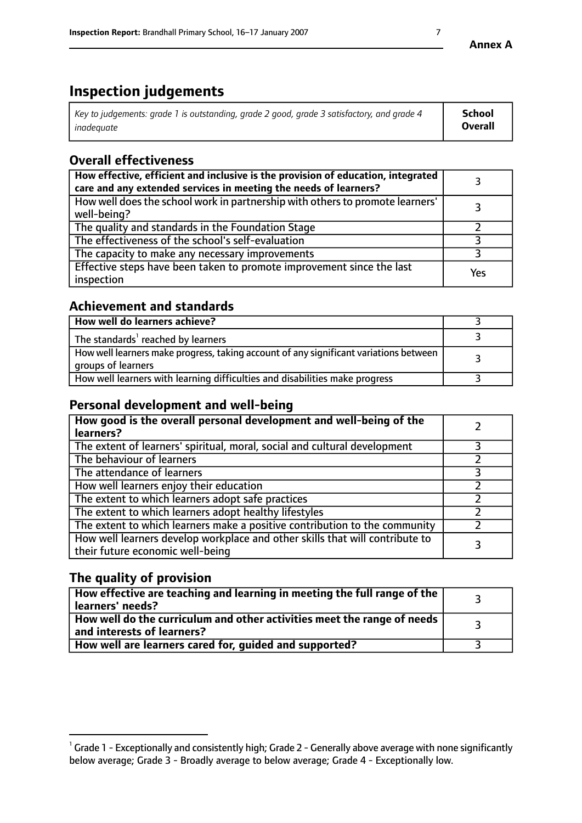# **Inspection judgements**

| Key to judgements: grade 1 is outstanding, grade 2 good, grade 3 satisfactory, and grade 4 | School         |
|--------------------------------------------------------------------------------------------|----------------|
| inadeauate                                                                                 | <b>Overall</b> |

# **Overall effectiveness**

| How effective, efficient and inclusive is the provision of education, integrated<br>care and any extended services in meeting the needs of learners? |     |
|------------------------------------------------------------------------------------------------------------------------------------------------------|-----|
| How well does the school work in partnership with others to promote learners'<br>well-being?                                                         |     |
| The quality and standards in the Foundation Stage                                                                                                    |     |
| The effectiveness of the school's self-evaluation                                                                                                    |     |
| The capacity to make any necessary improvements                                                                                                      |     |
| Effective steps have been taken to promote improvement since the last<br>inspection                                                                  | Yes |

#### **Achievement and standards**

| How well do learners achieve?                                                                               |  |
|-------------------------------------------------------------------------------------------------------------|--|
| The standards <sup>1</sup> reached by learners                                                              |  |
| How well learners make progress, taking account of any significant variations between<br>groups of learners |  |
| How well learners with learning difficulties and disabilities make progress                                 |  |

#### **Personal development and well-being**

| How good is the overall personal development and well-being of the<br>learners?                                  |  |
|------------------------------------------------------------------------------------------------------------------|--|
| The extent of learners' spiritual, moral, social and cultural development                                        |  |
| The behaviour of learners                                                                                        |  |
| The attendance of learners                                                                                       |  |
| How well learners enjoy their education                                                                          |  |
| The extent to which learners adopt safe practices                                                                |  |
| The extent to which learners adopt healthy lifestyles                                                            |  |
| The extent to which learners make a positive contribution to the community                                       |  |
| How well learners develop workplace and other skills that will contribute to<br>their future economic well-being |  |

#### **The quality of provision**

| $\Box$ How effective are teaching and learning in meeting the full range of the $\Box$<br>  learners' needs?        |  |
|---------------------------------------------------------------------------------------------------------------------|--|
| $\mid$ How well do the curriculum and other activities meet the range of needs<br>$\mid$ and interests of learners? |  |
| How well are learners cared for, guided and supported?                                                              |  |

 $^1$  Grade 1 - Exceptionally and consistently high; Grade 2 - Generally above average with none significantly below average; Grade 3 - Broadly average to below average; Grade 4 - Exceptionally low.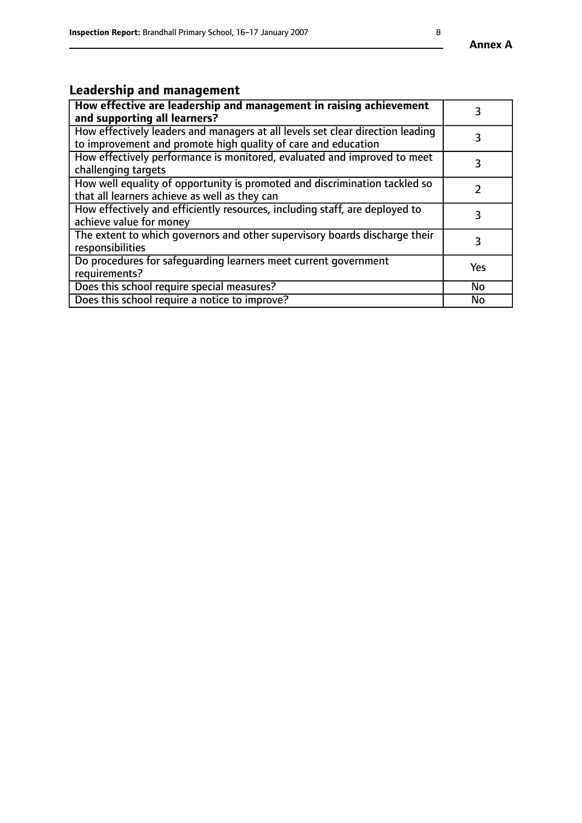#### **Annex A**

# **Leadership and management**

| How effective are leadership and management in raising achievement<br>and supporting all learners?                                              |           |
|-------------------------------------------------------------------------------------------------------------------------------------------------|-----------|
| How effectively leaders and managers at all levels set clear direction leading<br>to improvement and promote high quality of care and education |           |
| How effectively performance is monitored, evaluated and improved to meet<br>challenging targets                                                 | 3         |
| How well equality of opportunity is promoted and discrimination tackled so<br>that all learners achieve as well as they can                     |           |
| How effectively and efficiently resources, including staff, are deployed to<br>achieve value for money                                          | 3         |
| The extent to which governors and other supervisory boards discharge their<br>responsibilities                                                  | 3         |
| Do procedures for safequarding learners meet current government<br>requirements?                                                                | Yes       |
| Does this school require special measures?                                                                                                      | <b>No</b> |
| Does this school require a notice to improve?                                                                                                   | No        |